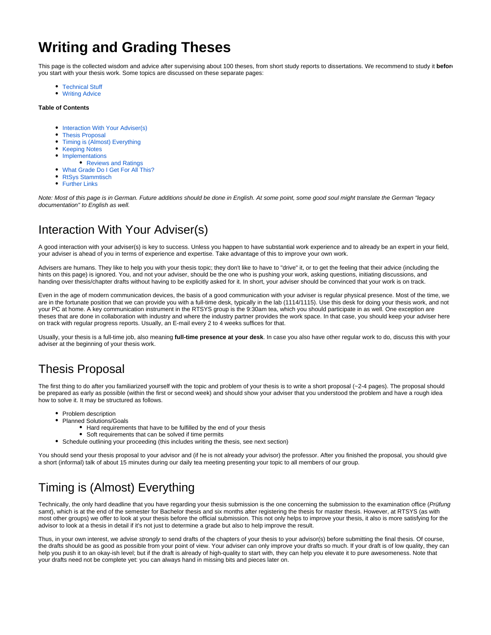# **Writing and Grading Theses**

This page is the collected wisdom and advice after supervising about 100 theses, from short study reports to dissertations. We recommend to study it **before** you start with your thesis work. Some topics are discussed on these separate pages:

- [Technical Stuff](https://rtsys.informatik.uni-kiel.de/confluence/display/RTSYS/Technical+Stuff)
- [Writing Advice](https://rtsys.informatik.uni-kiel.de/confluence/display/RTSYS/Writing+Advice)

#### **Table of Contents**

- [Interaction With Your Adviser\(s\)](#page-0-0)
- [Thesis Proposal](#page-0-1)
- [Timing is \(Almost\) Everything](#page-0-2)
- [Keeping Notes](#page-1-0)
- [Implementations](#page-1-1)  $\bullet$
- [Reviews and Ratings](#page-1-2)
- [What Grade Do I Get For All This?](#page-1-3)
- [RtSys Stammtisch](#page-2-0)
- [Further Links](#page-2-1)

Note: Most of this page is in German. Future additions should be done in English. At some point, some good soul might translate the German "legacy documentation" to English as well.

### <span id="page-0-0"></span>Interaction With Your Adviser(s)

A good interaction with your adviser(s) is key to success. Unless you happen to have substantial work experience and to already be an expert in your field, your adviser is ahead of you in terms of experience and expertise. Take advantage of this to improve your own work.

Advisers are humans. They like to help you with your thesis topic; they don't like to have to "drive" it, or to get the feeling that their advice (including the hints on this page) is ignored. You, and not your adviser, should be the one who is pushing your work, asking questions, initiating discussions, and handing over thesis/chapter drafts without having to be explicitly asked for it. In short, your adviser should be convinced that your work is on track.

Even in the age of modern communication devices, the basis of a good communication with your adviser is regular physical presence. Most of the time, we are in the fortunate position that we can provide you with a full-time desk, typically in the lab (1114/1115). Use this desk for doing your thesis work, and not your PC at home. A key communication instrument in the RTSYS group is the 9:30am tea, which you should participate in as well. One exception are theses that are done in collaboration with industry and where the industry partner provides the work space. In that case, you should keep your adviser here on track with regular progress reports. Usually, an E-mail every 2 to 4 weeks suffices for that.

Usually, your thesis is a full-time job, also meaning **full-time presence at your desk**. In case you also have other regular work to do, discuss this with your adviser at the beginning of your thesis work.

## <span id="page-0-1"></span>Thesis Proposal

The first thing to do after you familiarized yourself with the topic and problem of your thesis is to write a short proposal (~2-4 pages). The proposal should be prepared as early as possible (within the first or second week) and should show your adviser that you understood the problem and have a rough idea how to solve it. It may be structured as follows.

- Problem description
- Planned Solutions/Goals
	- Hard requirements that have to be fulfilled by the end of your thesis
	- Soft requirements that can be solved if time permits
- Schedule outlining your proceeding (this includes writing the thesis, see next section)

You should send your thesis proposal to your advisor and (if he is not already your advisor) the professor. After you finished the proposal, you should give a short (informal) talk of about 15 minutes during our daily tea meeting presenting your topic to all members of our group.

# <span id="page-0-2"></span>Timing is (Almost) Everything

Technically, the only hard deadline that you have regarding your thesis submission is the one concerning the submission to the examination office (Prüfung samt), which is at the end of the semester for Bachelor thesis and six months after registering the thesis for master thesis. However, at RTSYS (as with most other groups) we offer to look at your thesis before the official submission. This not only helps to improve your thesis, it also is more satisfying for the advisor to look at a thesis in detail if it's not just to determine a grade but also to help improve the result.

Thus, in your own interest, we advise strongly to send drafts of the chapters of your thesis to your advisor(s) before submitting the final thesis. Of course, the drafts should be as good as possible from your point of view. Your adviser can only improve your drafts so much. If your draft is of low quality, they can help you push it to an okay-ish level; but if the draft is already of high-quality to start with, they can help you elevate it to pure awesomeness. Note that your drafts need not be complete yet: you can always hand in missing bits and pieces later on.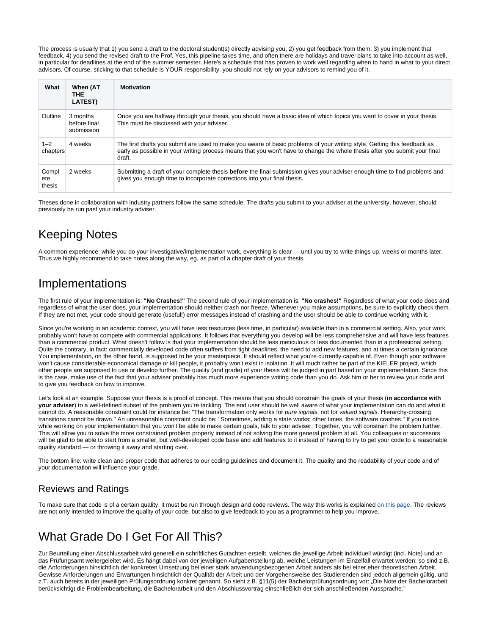The process is usually that 1) you send a draft to the doctoral student(s) directly advising you, 2) you get feedback from them, 3) you implement that feedback, 4) you send the revised draft to the Prof. Yes, this pipeline takes time, and often there are holidays and travel plans to take into account as well, in particular for deadlines at the end of the summer semester. Here's a schedule that has proven to work well regarding when to hand in what to your direct advisors. Of course, sticking to that schedule is YOUR responsibility, you should not rely on your advisors to remind you of it.

| What                   | When (AT<br>THE.<br><b>LATEST)</b>     | <b>Motivation</b>                                                                                                                                                                                                                                                |
|------------------------|----------------------------------------|------------------------------------------------------------------------------------------------------------------------------------------------------------------------------------------------------------------------------------------------------------------|
| Outline                | 3 months<br>before final<br>submission | Once you are halfway through your thesis, you should have a basic idea of which topics you want to cover in your thesis.<br>This must be discussed with your adviser.                                                                                            |
| $1 - 2$<br>chapters    | 4 weeks                                | The first drafts you submit are used to make you aware of basic problems of your writing style. Getting this feedback as<br>early as possible in your writing process means that you won't have to change the whole thesis after you submit your final<br>draft. |
| Compl<br>ete<br>thesis | 2 weeks                                | Submitting a draft of your complete thesis before the final submission gives your adviser enough time to find problems and<br>gives you enough time to incorporate corrections into your final thesis.                                                           |

Theses done in collaboration with industry partners follow the same schedule. The drafts you submit to your adviser at the university, however, should previously be run past your industry adviser.

# <span id="page-1-0"></span>Keeping Notes

A common experience: while you do your investigative/implementation work, everything is clear — until you try to write things up, weeks or months later. Thus we highly recommend to take notes along the way, eg, as part of a chapter draft of your thesis.

### <span id="page-1-1"></span>Implementations

The first rule of your implementation is: **"No Crashes!"** The second rule of your implementation is: **"No crashes!"** Regardless of what your code does and regardless of what the user does, your implementation should neither crash nor freeze. Whenever you make assumptions, be sure to explicitly check them. If they are not met, your code should generate (useful!) error messages instead of crashing and the user should be able to continue working with it.

Since you're working in an academic context, you will have less resources (less time, in particular) available than in a commercial setting. Also, your work probably won't have to compete with commercial applications. It follows that everything you develop will be less comprehensive and will have less features than a commercial product. What doesn't follow is that your implementation should be less meticulous or less documented than in a professional setting. Quite the contrary, in fact: commercially developed code often suffers from tight deadlines, the need to add new features, and at times a certain ignorance. You implementation, on the other hand, is supposed to be your masterpiece. It should reflect what you're currently capable of. Even though your software won't cause considerable economical damage or kill people, it probably won't exist in isolation. It will much rather be part of the KIELER project, which other people are supposed to use or develop further. The quality (and grade) of your thesis will be judged in part based on your implementation. Since this is the case, make use of the fact that your adviser probably has much more experience writing code than you do. Ask him or her to review your code and to give you feedback on how to improve.

Let's look at an example. Suppose your thesis is a proof of concept. This means that you should constrain the goals of your thesis (**in accordance with your adviser**) to a well-defined subset of the problem you're tackling. The end user should be well aware of what your implementation can do and what it cannot do. A reasonable constraint could for instance be: "The transformation only works for pure signals, not for valued signals. Hierarchy-crossing transitions cannot be drawn." An unreasonable constraint could be: "Sometimes, adding a state works; other times, the software crashes." If you notice while working on your implementation that you won't be able to make certain goals, talk to your adviser. Together, you will constrain the problem further. This will allow you to solve the more constrained problem properly instead of not solving the more general problem at all. You colleagues or successors will be glad to be able to start from a smaller, but well-developed code base and add features to it instead of having to try to get your code to a reasonable quality standard — or throwing it away and starting over.

The bottom line: write clean and proper code that adheres to our coding guidelines and document it. The quality and the readability of your code and of your documentation will influence your grade.

#### <span id="page-1-2"></span>Reviews and Ratings

To make sure that code is of a certain quality, it must be run through design and code reviews. The way this works is explained [on this page.](https://rtsys.informatik.uni-kiel.de/confluence/display/KIELER/Review+Process) The reviews are not only intended to improve the quality of your code, but also to give feedback to you as a programmer to help you improve.

# <span id="page-1-3"></span>What Grade Do I Get For All This?

Zur Beurteilung einer Abschlussarbeit wird generell ein schriftliches Gutachten erstellt, welches die jeweilige Arbeit individuell würdigt (incl. Note) und an das Prüfungsamt weitergeleitet wird. Es hängt dabei von der jeweiligen Aufgabenstellung ab, welche Leistungen im Einzelfall erwartet werden; so sind z.B. die Anforderungen hinsichtlich der konkreten Umsetzung bei einer stark anwendungsbezogenen Arbeit anders als bei einer eher theoretischen Arbeit. Gewisse Anforderungen und Erwartungen hinsichtlich der Qualität der Arbeit und der Vorgehensweise des Studierenden sind jedoch allgemein gültig, und z.T. auch bereits in der jeweiligen Prüfungsordnung konkret genannt. So sieht z.B. §11(5) der Bachelorprüfungsordnung vor: "Die Note der Bachelorarbeit berücksichtigt die Problembearbeitung, die Bachelorarbeit und den Abschlussvortrag einschließlich der sich anschließenden Aussprache."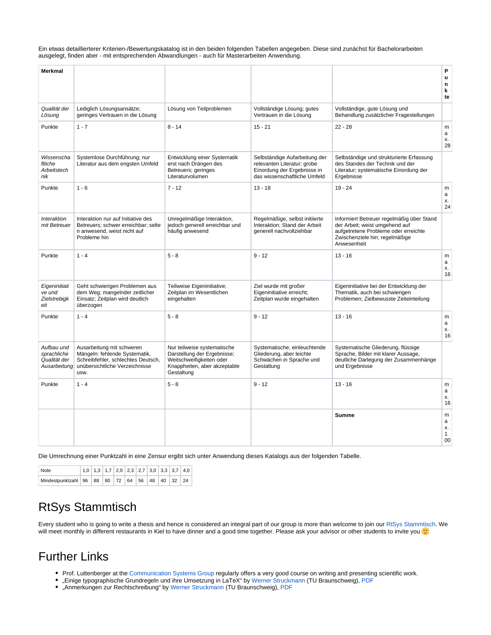Ein etwas detaillierterer Kriterien-/Bewertungskatalog ist in den beiden folgenden Tabellen angegeben. Diese sind zunächst für Bachelorarbeiten ausgelegt, finden aber - mit entsprechenden Abwandlungen - auch für Masterarbeiten Anwendung.

| <b>Merkmal</b>                                 |                                                                                                                                                         |                                                                                                                                      |                                                                                                                             |                                                                                                                                                                      | P<br>u<br>n<br>k<br>te                     |
|------------------------------------------------|---------------------------------------------------------------------------------------------------------------------------------------------------------|--------------------------------------------------------------------------------------------------------------------------------------|-----------------------------------------------------------------------------------------------------------------------------|----------------------------------------------------------------------------------------------------------------------------------------------------------------------|--------------------------------------------|
| Qualität der<br>Lösung                         | Lediglich Lösungsansätze;<br>geringes Vertrauen in die Lösung                                                                                           | Lösung von Teilproblemen                                                                                                             | Vollständige Lösung; gutes<br>Vertrauen in die Lösung                                                                       | Vollständige, gute Lösung und<br>Behandlung zusätzlicher Fragestellungen                                                                                             |                                            |
| Punkte                                         | $1 - 7$                                                                                                                                                 | $8 - 14$                                                                                                                             | $15 - 21$                                                                                                                   | $22 - 28$                                                                                                                                                            | m<br>a<br>х.<br>28                         |
| Wissenscha<br>ftliche<br>Arbeitstech<br>nik    | Systemlose Durchführung; nur<br>Literatur aus dem engsten Umfeld                                                                                        | Entwicklung einer Systematik<br>erst nach Drängen des<br>Betreuers; geringes<br>Literaturvolumen                                     | Selbständige Aufarbeitung der<br>relevanten Literatur; grobe<br>Einordung der Ergebnisse in<br>das wissenschaftliche Umfeld | Selbständige und strukturierte Erfassung<br>des Standes der Technik und der<br>Literatur; systematische Einordung der<br>Ergebnisse                                  |                                            |
| Punkte                                         | $1 - 6$                                                                                                                                                 | $7 - 12$                                                                                                                             | $13 - 18$                                                                                                                   | $19 - 24$                                                                                                                                                            | ${\sf m}$<br>a<br>х.<br>24                 |
| <b>Interaktion</b><br>mit Betreuer             | Interaktion nur auf Initiative des<br>Betreuers; schwer erreichbar; selte<br>n anwesend, weist nicht auf<br>Probleme hin                                | Unregelmäßige Interaktion,<br>jedoch generell erreichbar und<br>häufig anwesend                                                      | Regelmäßige, selbst initiierte<br>Interaktion; Stand der Arbeit<br>generell nachvollziehbar                                 | Informiert Betreuer regelmäßig über Stand<br>der Arbeit; weist umgehend auf<br>aufgetretene Probleme oder erreichte<br>Zwischenziele hin; regelmäßige<br>Anwesenheit |                                            |
| Punkte                                         | $1 - 4$                                                                                                                                                 | $5 - 8$                                                                                                                              | $9 - 12$                                                                                                                    | $13 - 16$                                                                                                                                                            | m<br>a<br>х.<br>16                         |
| Eigeninitiati<br>ve und<br>Zielstrebigk<br>eit | Geht schwierigen Problemen aus<br>dem Weg; mangelnder zeitlicher<br>Einsatz; Zeitplan wird deutlich<br>überzogen                                        | Teilweise Eigeninitiative;<br>Zeitplan im Wesentlichen<br>eingehalten                                                                | Ziel wurde mit großer<br>Eigeninitiative erreicht:<br>Zeitplan wurde eingehalten                                            | Eigeninitiative bei der Entwicklung der<br>Thematik, auch bei schwierigen<br>Problemen; Zielbewusste Zeiteinteilung                                                  |                                            |
| Punkte                                         | $1 - 4$                                                                                                                                                 | $5 - 8$                                                                                                                              | $9 - 12$                                                                                                                    | $13 - 16$                                                                                                                                                            | m<br>a<br>х.<br>16                         |
| Aufbau und<br>sprachliche<br>Qualität der      | Ausarbeitung mit schweren<br>Mängeln: fehlende Systematik,<br>Schreibfehler, schlechtes Deutsch,<br>Ausarbeitung unübersichtliche Verzeichnisse<br>usw. | Nur teilweise systematische<br>Darstellung der Ergebnisse;<br>Weitschweifigkeiten oder<br>Knappheiten, aber akzeptable<br>Gestaltung | Systematische, einleuchtende<br>Gliederung, aber leichte<br>Schwächen in Sprache und<br>Gestaltung                          | Systematische Gliederung, flüssige<br>Sprache, Bilder mit klarer Aussage,<br>deutliche Darlegung der Zusammenhänge<br>und Ergebnisse                                 |                                            |
| Punkte                                         | $1 - 4$                                                                                                                                                 | $5 - 8$                                                                                                                              | $9 - 12$                                                                                                                    | $13 - 16$                                                                                                                                                            | m<br>$\mathsf{a}$<br>х.<br>16              |
|                                                |                                                                                                                                                         |                                                                                                                                      |                                                                                                                             | <b>Summe</b>                                                                                                                                                         | ${\sf m}$<br>a<br>х.<br>$\mathbf{1}$<br>00 |

Die Umrechnung einer Punktzahl in eine Zensur ergibt sich unter Anwendung dieses Katalogs aus der folgenden Tabelle.

| Note                                           |  |  |  | $\vert$ 1,0 $\vert$ 1,3 $\vert$ 1,7 $\vert$ 2,0 $\vert$ 2,3 $\vert$ 2,7 $\vert$ 3,0 $\vert$ 3,3 $\vert$ 3,7 $\vert$ 4,0 $\vert$ |  |  |
|------------------------------------------------|--|--|--|---------------------------------------------------------------------------------------------------------------------------------|--|--|
| Mindestpunktzahl 96 88 80 72 64 56 48 40 32 24 |  |  |  |                                                                                                                                 |  |  |

# <span id="page-2-0"></span>RtSys Stammtisch

Every student who is going to write a thesis and hence is considered an integral part of our group is more than welcome to join our [RtSys Stammtisch](https://rtsys.informatik.uni-kiel.de/confluence/display/RTSYS/RtSys+Stammtisch). We will meet monthly in different restaurants in Kiel to have dinner and a good time together. Please ask your advisor or other students to invite you  $\bullet$ 

### <span id="page-2-1"></span>Further Links

- Prof. Luttenberger at the [Communication Systems Group](http://www.comsys.informatik.uni-kiel.de/) regularly offers a very good course on writing and presenting scientific work.
- "Einige typographische Grundregeln und ihre Umsetzung in LaTeX" by [Werner Struckmann](http://www.cs.tu-bs.de/ips/struck/index.html) (TU Braunschweig), [PDF](http://www.ips.tu-braunschweig.de/struckmann/unitext/typographie.pdf)  $\bullet$
- $\bullet$ "Anmerkungen zur Rechtschreibung" by [Werner Struckmann](http://www.cs.tu-bs.de/ips/struck/index.html) (TU Braunschweig), [PDF](http://www.ips.tu-braunschweig.de/struckmann/unitext/rechtschreibung.pdf)